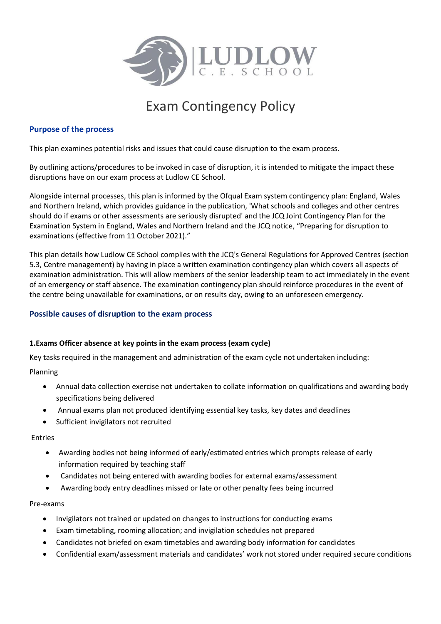

# Exam Contingency Policy

# **Purpose of the process**

This plan examines potential risks and issues that could cause disruption to the exam process.

By outlining actions/procedures to be invoked in case of disruption, it is intended to mitigate the impact these disruptions have on our exam process at Ludlow CE School.

Alongside internal processes, this plan is informed by the Ofqual Exam system contingency plan: England, Wales and Northern Ireland, which provides guidance in the publication, 'What schools and colleges and other centres should do if exams or other assessments are seriously disrupted' and the JCQ Joint Contingency Plan for the Examination System in England, Wales and Northern Ireland and the JCQ notice, "Preparing for disruption to examinations (effective from 11 October 2021)."

This plan details how Ludlow CE School complies with the JCQ's General Regulations for Approved Centres (section 5.3, Centre management) by having in place a written examination contingency plan which covers all aspects of examination administration. This will allow members of the senior leadership team to act immediately in the event of an emergency or staff absence. The examination contingency plan should reinforce procedures in the event of the centre being unavailable for examinations, or on results day, owing to an unforeseen emergency.

# **Possible causes of disruption to the exam process**

# **1.Exams Officer absence at key points in the exam process (exam cycle)**

Key tasks required in the management and administration of the exam cycle not undertaken including:

Planning

- Annual data collection exercise not undertaken to collate information on qualifications and awarding body specifications being delivered
- Annual exams plan not produced identifying essential key tasks, key dates and deadlines
- Sufficient invigilators not recruited

Entries

- Awarding bodies not being informed of early/estimated entries which prompts release of early information required by teaching staff
- Candidates not being entered with awarding bodies for external exams/assessment
- Awarding body entry deadlines missed or late or other penalty fees being incurred

### Pre-exams

- Invigilators not trained or updated on changes to instructions for conducting exams
- Exam timetabling, rooming allocation; and invigilation schedules not prepared
- Candidates not briefed on exam timetables and awarding body information for candidates
- Confidential exam/assessment materials and candidates' work not stored under required secure conditions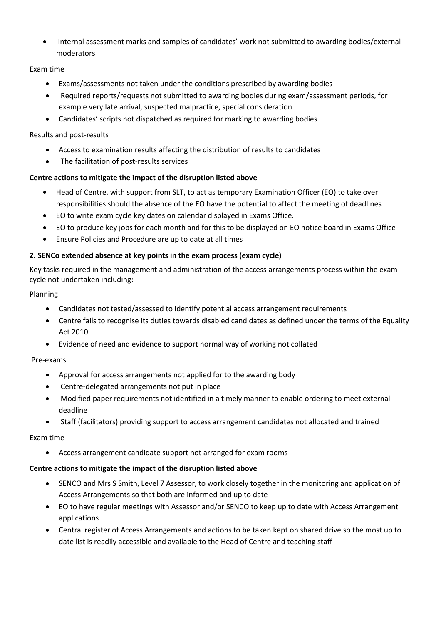Internal assessment marks and samples of candidates' work not submitted to awarding bodies/external moderators

# Exam time

- Exams/assessments not taken under the conditions prescribed by awarding bodies
- Required reports/requests not submitted to awarding bodies during exam/assessment periods, for example very late arrival, suspected malpractice, special consideration
- Candidates' scripts not dispatched as required for marking to awarding bodies

# Results and post-results

- Access to examination results affecting the distribution of results to candidates
- The facilitation of post-results services

# **Centre actions to mitigate the impact of the disruption listed above**

- Head of Centre, with support from SLT, to act as temporary Examination Officer (EO) to take over responsibilities should the absence of the EO have the potential to affect the meeting of deadlines
- EO to write exam cycle key dates on calendar displayed in Exams Office.
- EO to produce key jobs for each month and for this to be displayed on EO notice board in Exams Office
- Ensure Policies and Procedure are up to date at all times

# **2. SENCo extended absence at key points in the exam process (exam cycle)**

Key tasks required in the management and administration of the access arrangements process within the exam cycle not undertaken including:

# Planning

- Candidates not tested/assessed to identify potential access arrangement requirements
- Centre fails to recognise its duties towards disabled candidates as defined under the terms of the Equality Act 2010
- Evidence of need and evidence to support normal way of working not collated

# Pre-exams

- Approval for access arrangements not applied for to the awarding body
- Centre-delegated arrangements not put in place
- Modified paper requirements not identified in a timely manner to enable ordering to meet external deadline
- Staff (facilitators) providing support to access arrangement candidates not allocated and trained

# Exam time

Access arrangement candidate support not arranged for exam rooms

# **Centre actions to mitigate the impact of the disruption listed above**

- SENCO and Mrs S Smith, Level 7 Assessor, to work closely together in the monitoring and application of Access Arrangements so that both are informed and up to date
- EO to have regular meetings with Assessor and/or SENCO to keep up to date with Access Arrangement applications
- Central register of Access Arrangements and actions to be taken kept on shared drive so the most up to date list is readily accessible and available to the Head of Centre and teaching staff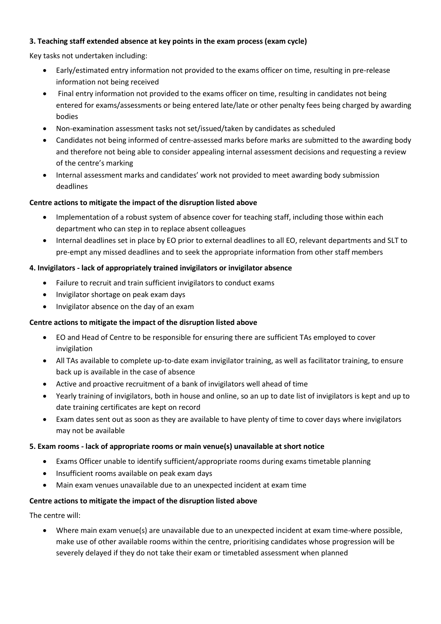# **3. Teaching staff extended absence at key points in the exam process (exam cycle)**

Key tasks not undertaken including:

- Early/estimated entry information not provided to the exams officer on time, resulting in pre-release information not being received
- Final entry information not provided to the exams officer on time, resulting in candidates not being entered for exams/assessments or being entered late/late or other penalty fees being charged by awarding bodies
- Non-examination assessment tasks not set/issued/taken by candidates as scheduled
- Candidates not being informed of centre-assessed marks before marks are submitted to the awarding body and therefore not being able to consider appealing internal assessment decisions and requesting a review of the centre's marking
- Internal assessment marks and candidates' work not provided to meet awarding body submission deadlines

# **Centre actions to mitigate the impact of the disruption listed above**

- Implementation of a robust system of absence cover for teaching staff, including those within each department who can step in to replace absent colleagues
- Internal deadlines set in place by EO prior to external deadlines to all EO, relevant departments and SLT to pre-empt any missed deadlines and to seek the appropriate information from other staff members

# **4. Invigilators - lack of appropriately trained invigilators or invigilator absence**

- Failure to recruit and train sufficient invigilators to conduct exams
- Invigilator shortage on peak exam days
- Invigilator absence on the day of an exam

# **Centre actions to mitigate the impact of the disruption listed above**

- EO and Head of Centre to be responsible for ensuring there are sufficient TAs employed to cover invigilation
- All TAs available to complete up-to-date exam invigilator training, as well as facilitator training, to ensure back up is available in the case of absence
- Active and proactive recruitment of a bank of invigilators well ahead of time
- Yearly training of invigilators, both in house and online, so an up to date list of invigilators is kept and up to date training certificates are kept on record
- Exam dates sent out as soon as they are available to have plenty of time to cover days where invigilators may not be available

# **5. Exam rooms - lack of appropriate rooms or main venue(s) unavailable at short notice**

- Exams Officer unable to identify sufficient/appropriate rooms during exams timetable planning
- Insufficient rooms available on peak exam days
- Main exam venues unavailable due to an unexpected incident at exam time

# **Centre actions to mitigate the impact of the disruption listed above**

The centre will:

 Where main exam venue(s) are unavailable due to an unexpected incident at exam time-where possible, make use of other available rooms within the centre, prioritising candidates whose progression will be severely delayed if they do not take their exam or timetabled assessment when planned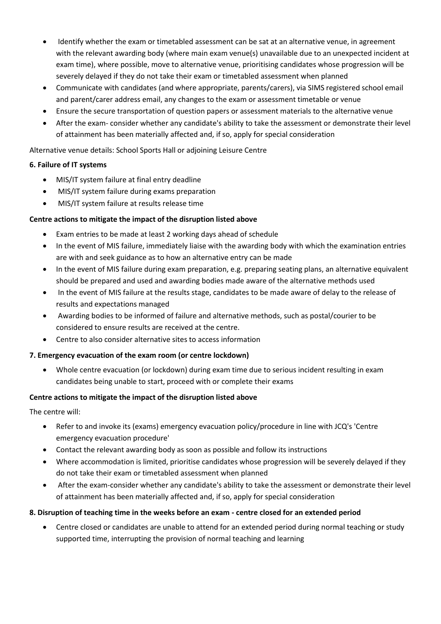- Identify whether the exam or timetabled assessment can be sat at an alternative venue, in agreement with the relevant awarding body (where main exam venue(s) unavailable due to an unexpected incident at exam time), where possible, move to alternative venue, prioritising candidates whose progression will be severely delayed if they do not take their exam or timetabled assessment when planned
- Communicate with candidates (and where appropriate, parents/carers), via SIMS registered school email and parent/carer address email, any changes to the exam or assessment timetable or venue
- Ensure the secure transportation of question papers or assessment materials to the alternative venue
- After the exam- consider whether any candidate's ability to take the assessment or demonstrate their level of attainment has been materially affected and, if so, apply for special consideration

Alternative venue details: School Sports Hall or adjoining Leisure Centre

# **6. Failure of IT systems**

- MIS/IT system failure at final entry deadline
- MIS/IT system failure during exams preparation
- MIS/IT system failure at results release time

# **Centre actions to mitigate the impact of the disruption listed above**

- Exam entries to be made at least 2 working days ahead of schedule
- In the event of MIS failure, immediately liaise with the awarding body with which the examination entries are with and seek guidance as to how an alternative entry can be made
- In the event of MIS failure during exam preparation, e.g. preparing seating plans, an alternative equivalent should be prepared and used and awarding bodies made aware of the alternative methods used
- In the event of MIS failure at the results stage, candidates to be made aware of delay to the release of results and expectations managed
- Awarding bodies to be informed of failure and alternative methods, such as postal/courier to be considered to ensure results are received at the centre.
- Centre to also consider alternative sites to access information

# **7. Emergency evacuation of the exam room (or centre lockdown)**

 Whole centre evacuation (or lockdown) during exam time due to serious incident resulting in exam candidates being unable to start, proceed with or complete their exams

# **Centre actions to mitigate the impact of the disruption listed above**

The centre will:

- Refer to and invoke its (exams) emergency evacuation policy/procedure in line with JCQ's 'Centre emergency evacuation procedure'
- Contact the relevant awarding body as soon as possible and follow its instructions
- Where accommodation is limited, prioritise candidates whose progression will be severely delayed if they do not take their exam or timetabled assessment when planned
- After the exam-consider whether any candidate's ability to take the assessment or demonstrate their level of attainment has been materially affected and, if so, apply for special consideration

# **8. Disruption of teaching time in the weeks before an exam - centre closed for an extended period**

 Centre closed or candidates are unable to attend for an extended period during normal teaching or study supported time, interrupting the provision of normal teaching and learning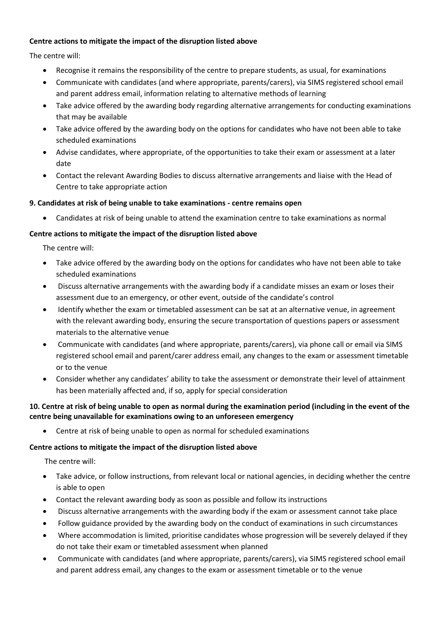# **Centre actions to mitigate the impact of the disruption listed above**

The centre will:

- Recognise it remains the responsibility of the centre to prepare students, as usual, for examinations
- Communicate with candidates (and where appropriate, parents/carers), via SIMS registered school email and parent address email, information relating to alternative methods of learning
- Take advice offered by the awarding body regarding alternative arrangements for conducting examinations that may be available
- Take advice offered by the awarding body on the options for candidates who have not been able to take scheduled examinations
- Advise candidates, where appropriate, of the opportunities to take their exam or assessment at a later date
- Contact the relevant Awarding Bodies to discuss alternative arrangements and liaise with the Head of Centre to take appropriate action

# **9. Candidates at risk of being unable to take examinations - centre remains open**

Candidates at risk of being unable to attend the examination centre to take examinations as normal

# **Centre actions to mitigate the impact of the disruption listed above**

The centre will:

- Take advice offered by the awarding body on the options for candidates who have not been able to take scheduled examinations
- Discuss alternative arrangements with the awarding body if a candidate misses an exam or loses their assessment due to an emergency, or other event, outside of the candidate's control
- Identify whether the exam or timetabled assessment can be sat at an alternative venue, in agreement with the relevant awarding body, ensuring the secure transportation of questions papers or assessment materials to the alternative venue
- Communicate with candidates (and where appropriate, parents/carers), via phone call or email via SIMS registered school email and parent/carer address email, any changes to the exam or assessment timetable or to the venue
- Consider whether any candidates' ability to take the assessment or demonstrate their level of attainment has been materially affected and, if so, apply for special consideration

# **10. Centre at risk of being unable to open as normal during the examination period (including in the event of the centre being unavailable for examinations owing to an unforeseen emergency**

Centre at risk of being unable to open as normal for scheduled examinations

# **Centre actions to mitigate the impact of the disruption listed above**

The centre will:

- Take advice, or follow instructions, from relevant local or national agencies, in deciding whether the centre is able to open
- Contact the relevant awarding body as soon as possible and follow its instructions
- Discuss alternative arrangements with the awarding body if the exam or assessment cannot take place
- Follow guidance provided by the awarding body on the conduct of examinations in such circumstances
- Where accommodation is limited, prioritise candidates whose progression will be severely delayed if they do not take their exam or timetabled assessment when planned
- Communicate with candidates (and where appropriate, parents/carers), via SIMS registered school email and parent address email, any changes to the exam or assessment timetable or to the venue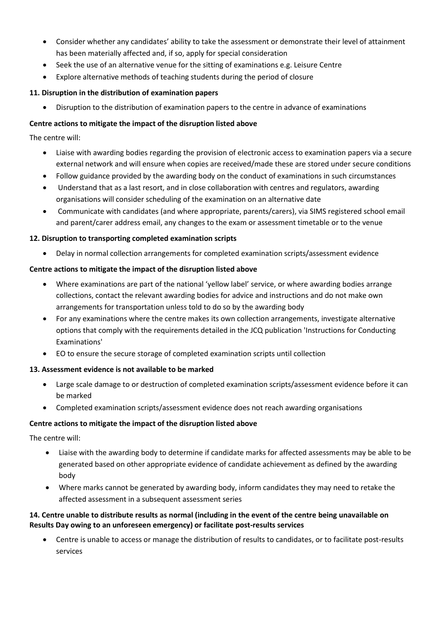- Consider whether any candidates' ability to take the assessment or demonstrate their level of attainment has been materially affected and, if so, apply for special consideration
- Seek the use of an alternative venue for the sitting of examinations e.g. Leisure Centre
- Explore alternative methods of teaching students during the period of closure

# **11. Disruption in the distribution of examination papers**

Disruption to the distribution of examination papers to the centre in advance of examinations

# **Centre actions to mitigate the impact of the disruption listed above**

The centre will:

- Liaise with awarding bodies regarding the provision of electronic access to examination papers via a secure external network and will ensure when copies are received/made these are stored under secure conditions
- Follow guidance provided by the awarding body on the conduct of examinations in such circumstances
- Understand that as a last resort, and in close collaboration with centres and regulators, awarding organisations will consider scheduling of the examination on an alternative date
- Communicate with candidates (and where appropriate, parents/carers), via SIMS registered school email and parent/carer address email, any changes to the exam or assessment timetable or to the venue

# **12. Disruption to transporting completed examination scripts**

Delay in normal collection arrangements for completed examination scripts/assessment evidence

# **Centre actions to mitigate the impact of the disruption listed above**

- Where examinations are part of the national 'yellow label' service, or where awarding bodies arrange collections, contact the relevant awarding bodies for advice and instructions and do not make own arrangements for transportation unless told to do so by the awarding body
- For any examinations where the centre makes its own collection arrangements, investigate alternative options that comply with the requirements detailed in the JCQ publication 'Instructions for Conducting Examinations'
- EO to ensure the secure storage of completed examination scripts until collection

### **13. Assessment evidence is not available to be marked**

- Large scale damage to or destruction of completed examination scripts/assessment evidence before it can be marked
- Completed examination scripts/assessment evidence does not reach awarding organisations

# **Centre actions to mitigate the impact of the disruption listed above**

The centre will:

- Liaise with the awarding body to determine if candidate marks for affected assessments may be able to be generated based on other appropriate evidence of candidate achievement as defined by the awarding body
- Where marks cannot be generated by awarding body, inform candidates they may need to retake the affected assessment in a subsequent assessment series

# **14. Centre unable to distribute results as normal (including in the event of the centre being unavailable on Results Day owing to an unforeseen emergency) or facilitate post-results services**

 Centre is unable to access or manage the distribution of results to candidates, or to facilitate post-results services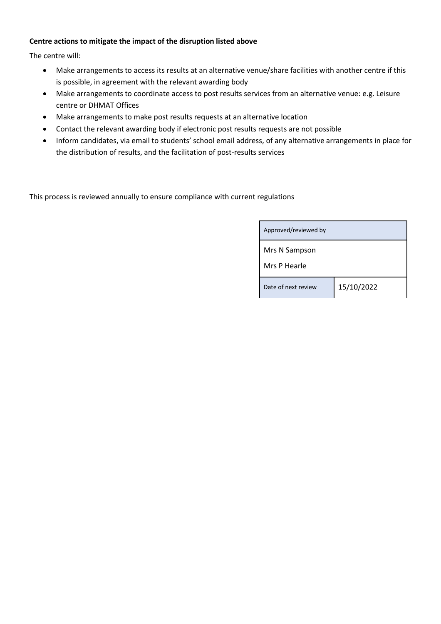# **Centre actions to mitigate the impact of the disruption listed above**

The centre will:

- Make arrangements to access its results at an alternative venue/share facilities with another centre if this is possible, in agreement with the relevant awarding body
- Make arrangements to coordinate access to post results services from an alternative venue: e.g. Leisure centre or DHMAT Offices
- Make arrangements to make post results requests at an alternative location
- Contact the relevant awarding body if electronic post results requests are not possible
- Inform candidates, via email to students' school email address, of any alternative arrangements in place for the distribution of results, and the facilitation of post-results services

This process is reviewed annually to ensure compliance with current regulations

| Approved/reviewed by |            |
|----------------------|------------|
| Mrs N Sampson        |            |
| Mrs P Hearle         |            |
| Date of next review  | 15/10/2022 |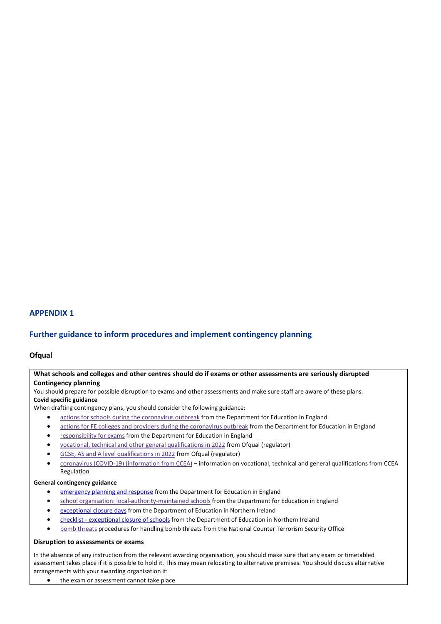# **APPENDIX 1**

### **Further guidance to inform procedures and implement contingency planning**

### **Ofqual**

### **What schools and colleges and other centres should do if exams or other assessments are seriously disrupted Contingency planning**

You should prepare for possible disruption to exams and other assessments and make sure staff are aware of these plans. **Covid specific guidance**

When drafting contingency plans, you should consider the following guidance:

- **•** actions for schools during the [coronavirus](https://www.gov.uk/government/publications/actions-for-schools-during-the-coronavirus-outbreak) outbreak from the Department for Education in England
- actions for FE colleges and providers during the [coronavirus](https://www.gov.uk/government/publications/coronavirus-covid-19-maintaining-further-education-provision) outbreak from the Department for Education in England
- [responsibility](https://www.gov.uk/government/publications/responsibility-for-autumn-gcse-as-and-a-level-exam-series) for exams from the Department for Education in England
- vocational, technical and other general [qualifications](https://www.gov.uk/government/collections/vocational-technical-and-other-general-qualifications-in-2022) in 2022 from Ofqual (regulator)
- GCSE, AS and A level [qualifications](https://www.gov.uk/government/collections/gcse-as-and-a-level-qualifications-in-2022) in 2022 from Ofqual (regulator)
- coronavirus (COVID-19) [\(information](https://ccea.org.uk/regulation/coronavirus) from CCEA) information on vocational, technical and general qualifications from CCEA Regulation

#### **General contingency guidance**

- [emergency](https://www.gov.uk/guidance/emergencies-and-severe-weather-schools-and-early-years-settings) planning and response from the Department for Education in England
- school organisation: [local-authority-maintained](https://www.gov.uk/government/publications/school-organisation-maintained-schools) schools from the Department for Education in England
- [exceptional](https://www.education-ni.gov.uk/articles/exceptional-closure-days) closure days from the Department of Education in Northern Ireland
- checklist [exceptional](https://www.education-ni.gov.uk/publications/checklist-exceptional-closure-schools) closure of schools from the Department of Education in Northern Ireland
- bomb [threats](https://www.gov.uk/government/publications/crowded-places-guidance/bomb-threats) procedures for handling bomb threats from the National Counter Terrorism Security Office

#### **Disruption to assessments or exams**

In the absence of any instruction from the relevant awarding organisation, you should make sure that any exam or timetabled assessment takes place if it is possible to hold it. This may mean relocating to alternative premises. You should discuss alternative arrangements with your awarding organisation if:

• the exam or assessment cannot take place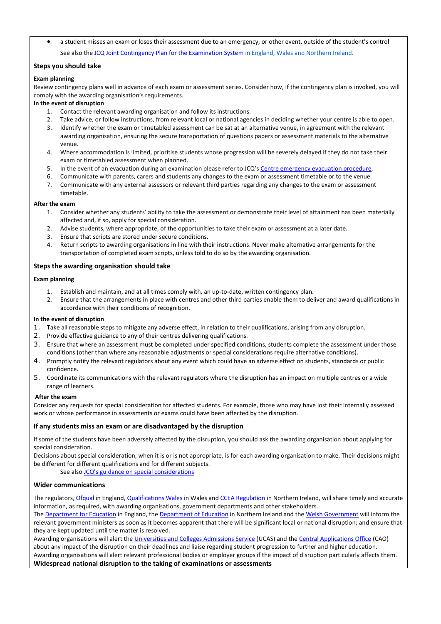a student misses an exam or loses their assessment due to an emergency, or other event, outside of the student's control See also the JCQ Joint [Contingency](https://www.jcq.org.uk/exams-office/other-documents/jcq-joint-contingency-plan/) Plan for the Examination System in England, Wales and Northern Ireland.

### **Steps you should take**

### **Exam planning**

Review contingency plans well in advance of each exam or assessment series. Consider how, if the contingency plan is invoked, you will comply with the awarding organisation's requirements.

### **In the event of disruption**

- 1. Contact the relevant awarding organisation and follow its instructions.
- 2. Take advice, or follow instructions, from relevant local or national agencies in deciding whether your centre is able to open.
- 3. Identify whether the exam or timetabled assessment can be sat at an alternative venue, in agreement with the relevant awarding organisation, ensuring the secure transportation of questions papers or assessment materials to the alternative venue.
- 4. Where accommodation is limited, prioritise students whose progression will be severely delayed if they do not take their exam or timetabled assessment when planned.
- 5. In the event of an evacuation during an examination please refer to JCQ's Centre [emergency](https://www.jcq.org.uk/exams-office/ice---instructions-for-conducting-examinations/centre-emergency-evacuation-procedure) evacuation procedure.
- 6. Communicate with parents, carers and students any changes to the exam or assessment timetable or to the venue.
- 7. Communicate with any external assessors or relevant third parties regarding any changes to the exam or assessment timetable.

#### **After the exam**

- 1. Consider whether any students' ability to take the assessment or demonstrate their level of attainment has been materially affected and, if so, apply for special consideration.
- 2. Advise students, where appropriate, of the opportunities to take their exam or assessment at a later date.
- 3. Ensure that scripts are stored under secure conditions.
- 4. Return scripts to awarding organisations in line with their instructions. Never make alternative arrangements for the transportation of completed exam scripts, unless told to do so by the awarding organisation.

### **Steps the awarding organisation should take**

### **Exam planning**

- 1. Establish and maintain, and at all times comply with, an up-to-date, written contingency plan.
- 2. Ensure that the arrangements in place with centres and other third parties enable them to deliver and award qualifications in accordance with their conditions of recognition.

#### **In the event of disruption**

- 1. Take all reasonable steps to mitigate any adverse effect, in relation to their qualifications, arising from any disruption.
- 2. Provide effective guidance to any of their centres delivering qualifications.
- 3. Ensure that where an assessment must be completed under specified conditions, students complete the assessment under those conditions (other than where any reasonable adjustments or special considerations require alternative conditions).
- 4. Promptly notify the relevant regulators about any event which could have an adverse effect on students, standards or public confidence.
- 5. Coordinate its communications with the relevant regulators where the disruption has an impact on multiple centres or a wide range of learners.

#### **After the exam**

Consider any requests for special consideration for affected students. For example, those who may have lost their internally assessed work or whose performance in assessments or exams could have been affected by the disruption.

### **If any students miss an exam or are disadvantaged by the disruption**

If some of the students have been adversely affected by the disruption, you should ask the awarding organisation about applying for special consideration.

Decisions about special consideration, when it is or is not appropriate, is for each awarding organisation to make. Their decisions might be different for different qualifications and for different subjects.

See also JCQ's guidance on special [considerations](https://www.jcq.org.uk/exams-office/access-arrangements-and-special-consideration/regulations-and-guidance)

### **Wider communications**

The regulators[, Ofqual](https://www.gov.uk/ofqual) in England[, Qualifications](http://qualificationswales.org/) Wales in Wales and CCEA [Regulation](http://ccea.org.uk/) in Northern Ireland, will share timely and accurate information, as required, with awarding organisations, government departments and other stakeholders.

The [Department](https://www.gov.uk/government/organisations/department-for-education) for Education in England, th[e Department](https://www.education-ni.gov.uk/) of Education in Northern Ireland and the Welsh [Government](http://gov.wales/topics/educationandskills/?lang=en) will inform the relevant government ministers as soon as it becomes apparent that there will be significant local or national disruption; and ensure that they are kept updated until the matter is resolved.

Awarding organisations will alert th[e Universities](https://www.ucas.com/) and Colleges Admissions Service (UCAS) and the Central [Applications](http://www.cao.ie/) Office (CAO) about any impact of the disruption on their deadlines and liaise regarding student progression to further and higher education. Awarding organisations will alert relevant professional bodies or employer groups if the impact of disruption particularly affects them. **Widespread national disruption to the taking of examinations or assessments**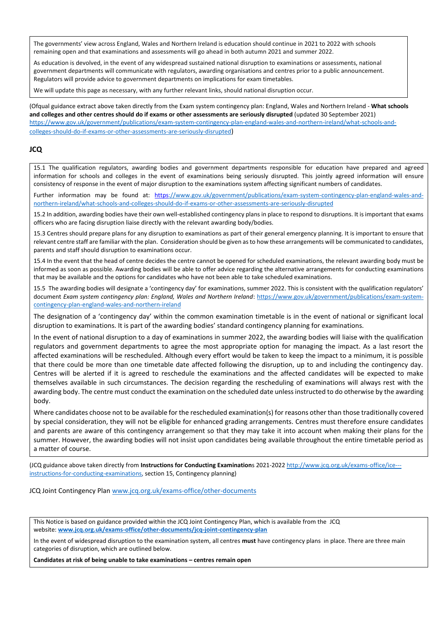The governments' view across England, Wales and Northern Ireland is education should continue in 2021 to 2022 with schools remaining open and that examinations and assessments will go ahead in both autumn 2021 and summer 2022.

As education is devolved, in the event of any widespread sustained national disruption to examinations or assessments, national government departments will communicate with regulators, awarding organisations and centres prior to a public announcement. Regulators will provide advice to government departments on implications for exam timetables.

We will update this page as necessary, with any further relevant links, should national disruption occur.

(Ofqual guidance extract above taken directly from the Exam system contingency plan: England, Wales and Northern Ireland - **What schools and colleges and other centres should do if exams or other assessments are seriously disrupted** (updated 30 September 2021) [https://www.gov.uk/government/publications/exam-system-contingency-plan-england-wales-and-northern-ireland/what-schools-and](https://www.gov.uk/government/publications/exam-system-contingency-plan-england-wales-and-northern-ireland/what-schools-and-colleges-should-do-if-exams-or-other-assessments-are-seriously-disrupted)[colleges-should-do-if-exams-or-other-assessments-are-seriously-disrupted](https://www.gov.uk/government/publications/exam-system-contingency-plan-england-wales-and-northern-ireland/what-schools-and-colleges-should-do-if-exams-or-other-assessments-are-seriously-disrupted))

### **JCQ**

15.1 The qualification regulators, awarding bodies and government departments responsible for education have prepared and agreed information for schools and colleges in the event of examinations being seriously disrupted. This jointly agreed information will ensure consistency of response in the event of major disruption to the examinations system affecting significant numbers of candidates.

Further information may be found at: [https://www.gov.uk/government/publications/exam-system-contingency-plan-england-wales-and](https://www.gov.uk/government/publications/exam-system-contingency-plan-england-wales-and-northern-ireland/what-schools-and-colleges-should-do-if-exams-or-other-assessments-are-seriously-disrupted)[northern-ireland/what-schools-and-colleges-should-do-if-exams-or-other-assessments-are-seriously-disrupted](https://www.gov.uk/government/publications/exam-system-contingency-plan-england-wales-and-northern-ireland/what-schools-and-colleges-should-do-if-exams-or-other-assessments-are-seriously-disrupted)

15.2 In addition, awarding bodies have their own well-established contingency plans in place to respond to disruptions. It is important that exams officers who are facing disruption liaise directly with the relevant awarding body/bodies.

15.3 Centres should prepare plans for any disruption to examinations as part of their general emergency planning. It is important to ensure that relevant centre staff are familiar with the plan. Consideration should be given as to how these arrangements will be communicated to candidates, parents and staff should disruption to examinations occur.

15.4 In the event that the head of centre decides the centre cannot be opened for scheduled examinations, the relevant awarding body must be informed as soon as possible. Awarding bodies will be able to offer advice regarding the alternative arrangements for conducting examinations that may be available and the options for candidates who have not been able to take scheduled examinations.

15.5 The awarding bodies will designate a 'contingency day' for examinations, summer 2022. This is consistent with the qualification regulators' document *Exam system contingency plan: England, Wales and Northern Ireland*: [https://www.gov.uk/government/publications/exam-system](https://www.gov.uk/government/publications/exam-system-contingency-plan-england-wales-and-northern-ireland)[contingency-plan-england-wales-and-northern-ireland](https://www.gov.uk/government/publications/exam-system-contingency-plan-england-wales-and-northern-ireland)

The designation of a 'contingency day' within the common examination timetable is in the event of national or significant local disruption to examinations. It is part of the awarding bodies' standard contingency planning for examinations.

In the event of national disruption to a day of examinations in summer 2022, the awarding bodies will liaise with the qualification regulators and government departments to agree the most appropriate option for managing the impact. As a last resort the affected examinations will be rescheduled. Although every effort would be taken to keep the impact to a minimum, it is possible that there could be more than one timetable date affected following the disruption, up to and including the contingency day. Centres will be alerted if it is agreed to reschedule the examinations and the affected candidates will be expected to make themselves available in such circumstances. The decision regarding the rescheduling of examinations will always rest with the awarding body. The centre must conduct the examination on the scheduled date unless instructed to do otherwise by the awarding body.

Where candidates choose not to be available for the rescheduled examination(s) for reasons other than those traditionally covered by special consideration, they will not be eligible for enhanced grading arrangements. Centres must therefore ensure candidates and parents are aware of this contingency arrangement so that they may take it into account when making their plans for the summer. However, the awarding bodies will not insist upon candidates being available throughout the entire timetable period as a matter of course.

(JCQ guidance above taken directly from **Instructions for Conducting Examination**s 2021-2022 [http://www.jcq.org.uk/exams-office/ice--](http://www.jcq.org.uk/exams-office/ice---instructions-for-conducting-examinations) [instructions-for-conducting-examinations,](http://www.jcq.org.uk/exams-office/ice---instructions-for-conducting-examinations) section 15, Contingency planning)

JCQ Joint Contingency Plan [www.jcq.org.uk/exams-office/other-documents](http://www.jcq.org.uk/exams-office/other-documents)

This Notice is based on guidance provided within the JCQ Joint Contingency Plan, which is available from the JCQ website: **[www.jcq.org.uk/exams-office/other-documents/jcq-joint-contingency-plan](https://www.jcq.org.uk/exams-office/other-documents/jcq-joint-contingency-plan)**

In the event of widespread disruption to the examination system, all centres **must** have contingency plans in place. There are three main categories of disruption, which are outlined below.

**Candidates at risk of being unable to take examinations – centres remain open**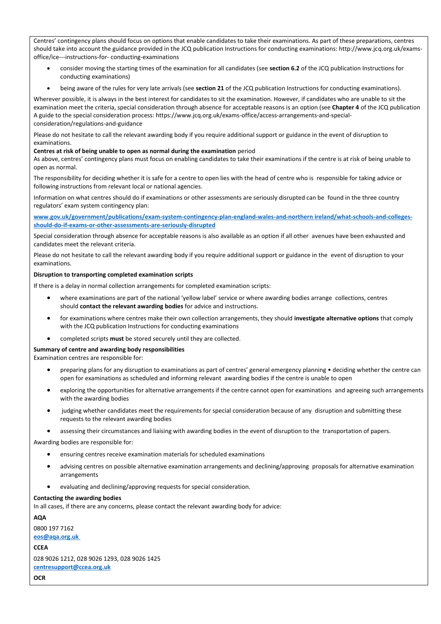Centres' contingency plans should focus on options that enable candidates to take their examinations. As part of these preparations, centres should take into account the guidance provided in the JCQ publication Instructions for conducting examinations: http://www.jcq.org.uk/examsoffice/ice---instructions-for- conducting-examinations

- consider moving the starting times of the examination for all candidates (see **section 6.2** of the JCQ publication Instructions for conducting examinations)
- being aware of the rules for very late arrivals (see **section 21** of the JCQ publication Instructions for conducting examinations).

Wherever possible, it is always in the best interest for candidates to sit the examination. However, if candidates who are unable to sit the examination meet the criteria, special consideration through absence for acceptable reasons is an option (see **Chapter 4** of the JCQ publication A guide to the special consideration process: https://www.jcq.org.uk/exams-office/access-arrangements-and-specialconsideration/regulations-and-guidance

Please do not hesitate to call the relevant awarding body if you require additional support or guidance in the event of disruption to examinations.

#### **Centres at risk of being unable to open as normal during the examination** period

As above, centres' contingency plans must focus on enabling candidates to take their examinations if the centre is at risk of being unable to open as normal.

The responsibility for deciding whether it is safe for a centre to open lies with the head of centre who is responsible for taking advice or following instructions from relevant local or national agencies.

Information on what centres should do if examinations or other assessments are seriously disrupted can be found in the three country regulators' exam system contingency plan:

**[www.gov.uk/government/publications/exam-system-contingency-plan-england-wales-and-northern ireland/what-schools-and-colleges](https://www.gov.uk/government/publications/exam-system-contingency-plan-england-wales-and-northern-ireland/what-schools-and-colleges-should-do-if-exams-or-other-assessments-are-seriously-disrupted)[should-do-if-exams-or-other-assessments-are-seriously-disrupted](https://www.gov.uk/government/publications/exam-system-contingency-plan-england-wales-and-northern-ireland/what-schools-and-colleges-should-do-if-exams-or-other-assessments-are-seriously-disrupted)**

Special consideration through absence for acceptable reasons is also available as an option if all other avenues have been exhausted and candidates meet the relevant criteria.

Please do not hesitate to call the relevant awarding body if you require additional support or guidance in the event of disruption to your examinations.

#### **Disruption to transporting completed examination scripts**

If there is a delay in normal collection arrangements for completed examination scripts:

- where examinations are part of the national 'yellow label' service or where awarding bodies arrange collections, centres should **contact the relevant awarding bodies** for advice and instructions.
- for examinations where centres make their own collection arrangements, they should **investigate alternative options** that comply with the JCQ publication Instructions for conducting examinations
- completed scripts **must** be stored securely until they are collected.

### **Summary of centre and awarding body responsibilities**

Examination centres are responsible for:

- preparing plans for any disruption to examinations as part of centres' general emergency planning deciding whether the centre can open for examinations as scheduled and informing relevant awarding bodies if the centre is unable to open
- exploring the opportunities for alternative arrangements if the centre cannot open for examinations and agreeing such arrangements with the awarding bodies
- judging whether candidates meet the requirements for special consideration because of any disruption and submitting these requests to the relevant awarding bodies
- assessing their circumstances and liaising with awarding bodies in the event of disruption to the transportation of papers.

Awarding bodies are responsible for:

- ensuring centres receive examination materials for scheduled examinations
- advising centres on possible alternative examination arrangements and declining/approving proposals for alternative examination arrangements
- evaluating and declining/approving requests for special consideration.

#### **Contacting the awarding bodies**

In all cases, if there are any concerns, please contact the relevant awarding body for advice:

**AQA**

0800 197 7162

**[eos@aqa.org.uk](mailto:eos@aqa.org.uk)**

**CCEA**

028 9026 1212, 028 9026 1293, 028 9026 1425 **[centresupport@ccea.org.uk](mailto:centresupport@ccea.org.uk)**

**OCR**